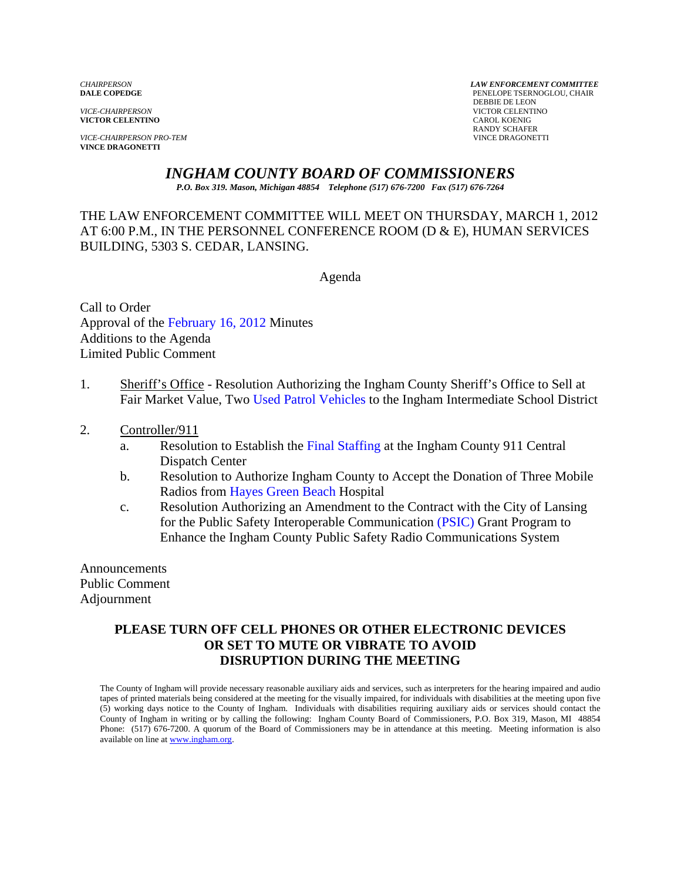**VICTOR CELENTINO** 

*VICE-CHAIRPERSON PRO-TEM* VINCE DRAGONETTI **VINCE DRAGONETTI** 

*CHAIRPERSON LAW ENFORCEMENT COMMITTEE* PENELOPE TSERNOGLOU, CHAIR **PERSUAL SERVICE-CHAIRPERSON**<br> **PERSUAL SERVICTOR CELENTI VICTOR CELENTINO**<br>CAROL KOENIG RANDY SCHAFER

# *INGHAM COUNTY BOARD OF COMMISSIONERS*

*P.O. Box 319. Mason, Michigan 48854 Telephone (517) 676-7200 Fax (517) 676-7264*

THE LAW ENFORCEMENT COMMITTEE WILL MEET ON THURSDAY, MARCH 1, 2012 AT 6:00 P.M., IN THE PERSONNEL CONFERENCE ROOM (D & E), HUMAN SERVICES BUILDING, 5303 S. CEDAR, LANSING.

Agenda

Call to Order Approval o[f the February 16, 2012 Minutes](#page-1-0)  Additions to the Agenda Limited Public Comment

- 1. Sheriff's Office Resolution Authorizing the Ingham County Sheriff's Office to Sell at Fair Market Value, T[wo Used Patrol Vehicles to the Ingham](#page-8-0) Intermediate School District
- 2. Controller/911
	- a. Resolution to Establish [the Final Staffing at the Ingham Co](#page-10-0)unty 911 Central Dispatch Center
	- b. Resolution to Authorize Ingham County to Accept the Donation of Three Mobile Radios fr[om Hayes Green Beach Hospi](#page-14-0)tal
	- c. Resolution Authorizing an Amendment to the Co[ntract with the City of Lans](#page-16-0)ing for the Public Safety Interoperable Communication (PSIC) Grant Program to Enhance the Ingham County Public Safety Radio Communications System

Announcements Public Comment Adjournment

# **PLEASE TURN OFF CELL PHONES OR OTHER ELECTRONIC DEVICES OR SET TO MUTE OR VIBRATE TO AVOID DISRUPTION DURING THE MEETING**

The County of Ingham will provide necessary reasonable auxiliary aids and services, such as interpreters for the hearing impaired and audio tapes of printed materials being considered at the meeting for the visually impaired, for individuals with disabilities at the meeting upon five (5) working days notice to the County of Ingham. Individuals with disabilities requiring auxiliary aids or services should contact the County of Ingham in writing or by calling the following: Ingham County Board of Commissioners, P.O. Box 319, Mason, MI 48854 Phone: (517) 676-7200. A quorum of the Board of Commissioners may be in attendance at this meeting. Meeting information is also available on line at www.ingham.org.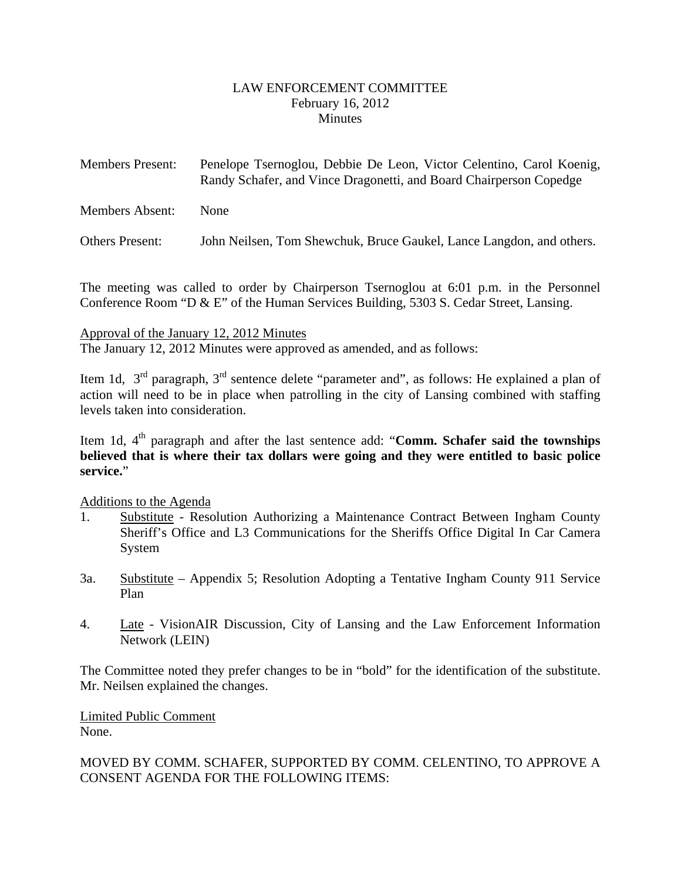### LAW ENFORCEMENT COMMITTEE February 16, 2012 **Minutes**

<span id="page-1-0"></span>

| <b>Members Present:</b> | Penelope Tsernoglou, Debbie De Leon, Victor Celentino, Carol Koenig, |
|-------------------------|----------------------------------------------------------------------|
|                         | Randy Schafer, and Vince Dragonetti, and Board Chairperson Copedge   |
|                         |                                                                      |

Members Absent: None

Others Present: John Neilsen, Tom Shewchuk, Bruce Gaukel, Lance Langdon, and others.

The meeting was called to order by Chairperson Tsernoglou at 6:01 p.m. in the Personnel Conference Room "D & E" of the Human Services Building, 5303 S. Cedar Street, Lansing.

### Approval of the January 12, 2012 Minutes

The January 12, 2012 Minutes were approved as amended, and as follows:

Item 1d,  $3^{rd}$  paragraph,  $3^{rd}$  sentence delete "parameter and", as follows: He explained a plan of action will need to be in place when patrolling in the city of Lansing combined with staffing levels taken into consideration.

Item 1d,  $4<sup>th</sup>$  paragraph and after the last sentence add: "**Comm. Schafer said the townships believed that is where their tax dollars were going and they were entitled to basic police service.**"

### Additions to the Agenda

- 1. Substitute Resolution Authorizing a Maintenance Contract Between Ingham County Sheriff's Office and L3 Communications for the Sheriffs Office Digital In Car Camera System
- 3a. Substitute Appendix 5; Resolution Adopting a Tentative Ingham County 911 Service Plan
- 4. Late VisionAIR Discussion, City of Lansing and the Law Enforcement Information Network (LEIN)

The Committee noted they prefer changes to be in "bold" for the identification of the substitute. Mr. Neilsen explained the changes.

Limited Public Comment None.

# MOVED BY COMM. SCHAFER, SUPPORTED BY COMM. CELENTINO, TO APPROVE A CONSENT AGENDA FOR THE FOLLOWING ITEMS: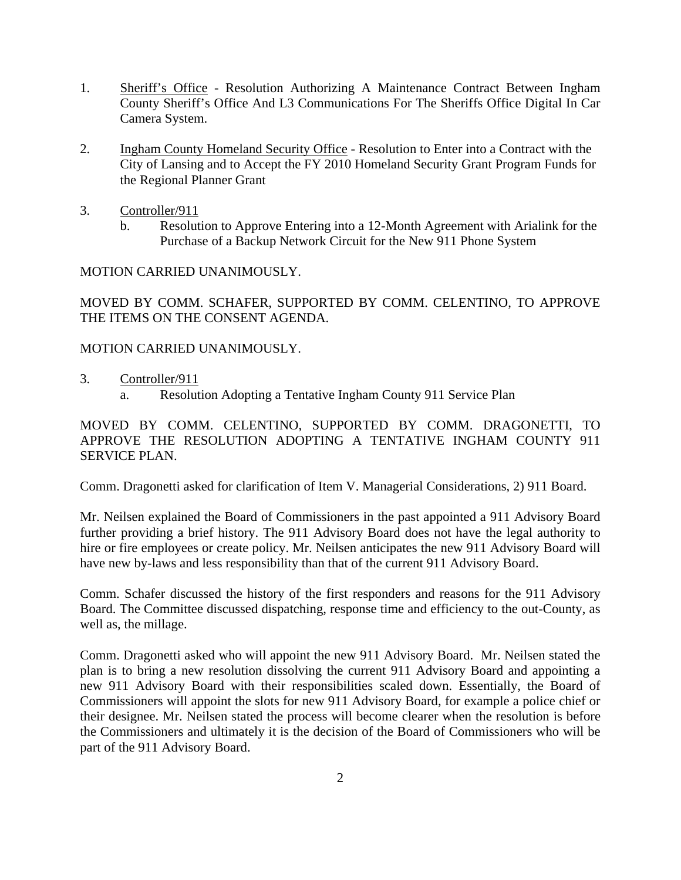- 1. Sheriff's Office Resolution Authorizing A Maintenance Contract Between Ingham County Sheriff's Office And L3 Communications For The Sheriffs Office Digital In Car Camera System.
- 2. Ingham County Homeland Security Office Resolution to Enter into a Contract with the City of Lansing and to Accept the FY 2010 Homeland Security Grant Program Funds for the Regional Planner Grant
- 3. Controller/911
	- b. Resolution to Approve Entering into a 12-Month Agreement with Arialink for the Purchase of a Backup Network Circuit for the New 911 Phone System

### MOTION CARRIED UNANIMOUSLY.

MOVED BY COMM. SCHAFER, SUPPORTED BY COMM. CELENTINO, TO APPROVE THE ITEMS ON THE CONSENT AGENDA.

### MOTION CARRIED UNANIMOUSLY.

- 3. Controller/911
	- a. Resolution Adopting a Tentative Ingham County 911 Service Plan

MOVED BY COMM. CELENTINO, SUPPORTED BY COMM. DRAGONETTI, TO APPROVE THE RESOLUTION ADOPTING A TENTATIVE INGHAM COUNTY 911 SERVICE PLAN.

Comm. Dragonetti asked for clarification of Item V. Managerial Considerations, 2) 911 Board.

Mr. Neilsen explained the Board of Commissioners in the past appointed a 911 Advisory Board further providing a brief history. The 911 Advisory Board does not have the legal authority to hire or fire employees or create policy. Mr. Neilsen anticipates the new 911 Advisory Board will have new by-laws and less responsibility than that of the current 911 Advisory Board.

Comm. Schafer discussed the history of the first responders and reasons for the 911 Advisory Board. The Committee discussed dispatching, response time and efficiency to the out-County, as well as, the millage.

Comm. Dragonetti asked who will appoint the new 911 Advisory Board. Mr. Neilsen stated the plan is to bring a new resolution dissolving the current 911 Advisory Board and appointing a new 911 Advisory Board with their responsibilities scaled down. Essentially, the Board of Commissioners will appoint the slots for new 911 Advisory Board, for example a police chief or their designee. Mr. Neilsen stated the process will become clearer when the resolution is before the Commissioners and ultimately it is the decision of the Board of Commissioners who will be part of the 911 Advisory Board.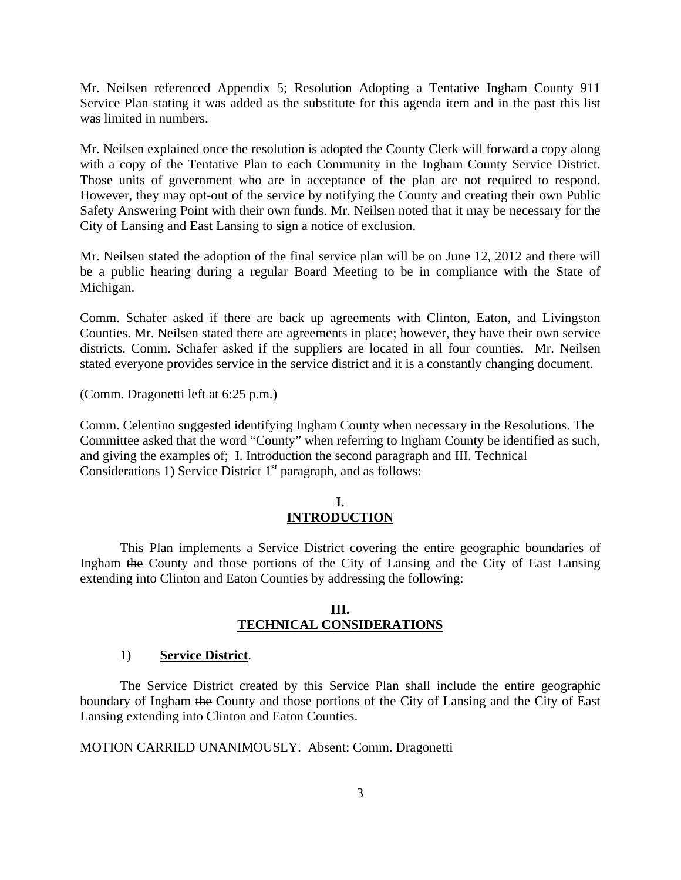Mr. Neilsen referenced Appendix 5; Resolution Adopting a Tentative Ingham County 911 Service Plan stating it was added as the substitute for this agenda item and in the past this list was limited in numbers.

Mr. Neilsen explained once the resolution is adopted the County Clerk will forward a copy along with a copy of the Tentative Plan to each Community in the Ingham County Service District. Those units of government who are in acceptance of the plan are not required to respond. However, they may opt-out of the service by notifying the County and creating their own Public Safety Answering Point with their own funds. Mr. Neilsen noted that it may be necessary for the City of Lansing and East Lansing to sign a notice of exclusion.

Mr. Neilsen stated the adoption of the final service plan will be on June 12, 2012 and there will be a public hearing during a regular Board Meeting to be in compliance with the State of Michigan.

Comm. Schafer asked if there are back up agreements with Clinton, Eaton, and Livingston Counties. Mr. Neilsen stated there are agreements in place; however, they have their own service districts. Comm. Schafer asked if the suppliers are located in all four counties. Mr. Neilsen stated everyone provides service in the service district and it is a constantly changing document.

(Comm. Dragonetti left at 6:25 p.m.)

Comm. Celentino suggested identifying Ingham County when necessary in the Resolutions. The Committee asked that the word "County" when referring to Ingham County be identified as such, and giving the examples of; I. Introduction the second paragraph and III. Technical Considerations 1) Service District  $1<sup>st</sup>$  paragraph, and as follows:

### **I. INTRODUCTION**

 This Plan implements a Service District covering the entire geographic boundaries of Ingham the County and those portions of the City of Lansing and the City of East Lansing extending into Clinton and Eaton Counties by addressing the following:

#### **III. TECHNICAL CONSIDERATIONS**

#### 1) **Service District**.

 The Service District created by this Service Plan shall include the entire geographic boundary of Ingham the County and those portions of the City of Lansing and the City of East Lansing extending into Clinton and Eaton Counties.

MOTION CARRIED UNANIMOUSLY. Absent: Comm. Dragonetti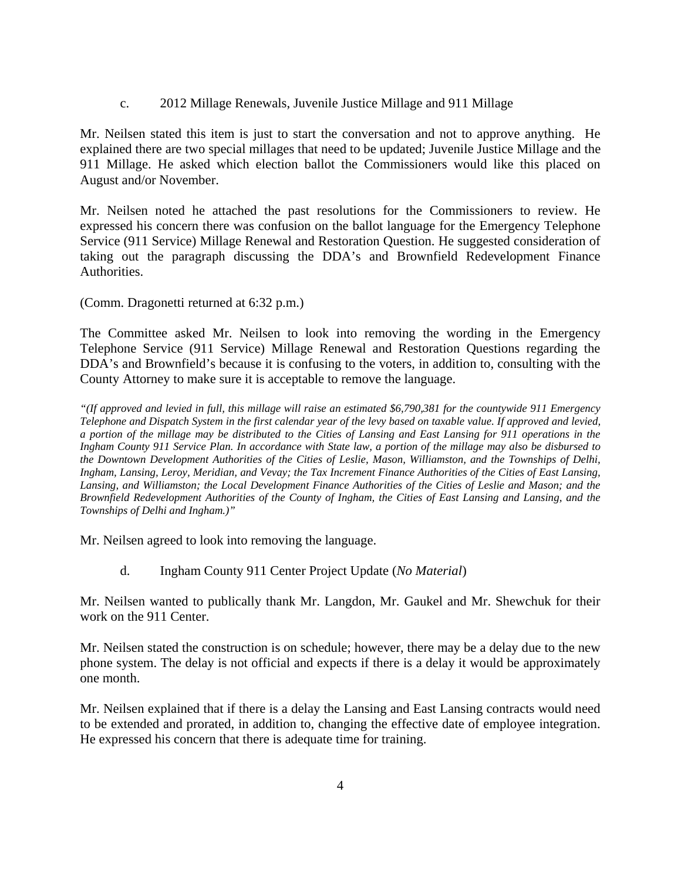c. 2012 Millage Renewals, Juvenile Justice Millage and 911 Millage

Mr. Neilsen stated this item is just to start the conversation and not to approve anything. He explained there are two special millages that need to be updated; Juvenile Justice Millage and the 911 Millage. He asked which election ballot the Commissioners would like this placed on August and/or November.

Mr. Neilsen noted he attached the past resolutions for the Commissioners to review. He expressed his concern there was confusion on the ballot language for the Emergency Telephone Service (911 Service) Millage Renewal and Restoration Question. He suggested consideration of taking out the paragraph discussing the DDA's and Brownfield Redevelopment Finance Authorities.

(Comm. Dragonetti returned at 6:32 p.m.)

The Committee asked Mr. Neilsen to look into removing the wording in the Emergency Telephone Service (911 Service) Millage Renewal and Restoration Questions regarding the DDA's and Brownfield's because it is confusing to the voters, in addition to, consulting with the County Attorney to make sure it is acceptable to remove the language.

*"(If approved and levied in full, this millage will raise an estimated \$6,790,381 for the countywide 911 Emergency Telephone and Dispatch System in the first calendar year of the levy based on taxable value. If approved and levied, a portion of the millage may be distributed to the Cities of Lansing and East Lansing for 911 operations in the Ingham County 911 Service Plan. In accordance with State law, a portion of the millage may also be disbursed to the Downtown Development Authorities of the Cities of Leslie, Mason, Williamston, and the Townships of Delhi, Ingham, Lansing, Leroy, Meridian, and Vevay; the Tax Increment Finance Authorities of the Cities of East Lansing, Lansing, and Williamston; the Local Development Finance Authorities of the Cities of Leslie and Mason; and the Brownfield Redevelopment Authorities of the County of Ingham, the Cities of East Lansing and Lansing, and the Townships of Delhi and Ingham.)"*

Mr. Neilsen agreed to look into removing the language.

d. Ingham County 911 Center Project Update (*No Material*)

Mr. Neilsen wanted to publically thank Mr. Langdon, Mr. Gaukel and Mr. Shewchuk for their work on the 911 Center.

Mr. Neilsen stated the construction is on schedule; however, there may be a delay due to the new phone system. The delay is not official and expects if there is a delay it would be approximately one month.

Mr. Neilsen explained that if there is a delay the Lansing and East Lansing contracts would need to be extended and prorated, in addition to, changing the effective date of employee integration. He expressed his concern that there is adequate time for training.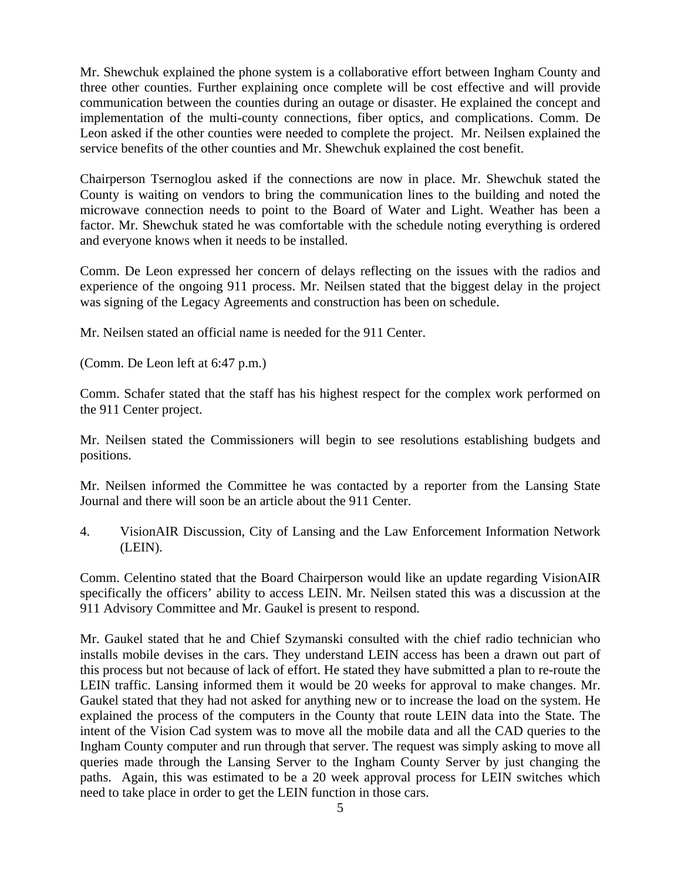Mr. Shewchuk explained the phone system is a collaborative effort between Ingham County and three other counties. Further explaining once complete will be cost effective and will provide communication between the counties during an outage or disaster. He explained the concept and implementation of the multi-county connections, fiber optics, and complications. Comm. De Leon asked if the other counties were needed to complete the project. Mr. Neilsen explained the service benefits of the other counties and Mr. Shewchuk explained the cost benefit.

Chairperson Tsernoglou asked if the connections are now in place. Mr. Shewchuk stated the County is waiting on vendors to bring the communication lines to the building and noted the microwave connection needs to point to the Board of Water and Light. Weather has been a factor. Mr. Shewchuk stated he was comfortable with the schedule noting everything is ordered and everyone knows when it needs to be installed.

Comm. De Leon expressed her concern of delays reflecting on the issues with the radios and experience of the ongoing 911 process. Mr. Neilsen stated that the biggest delay in the project was signing of the Legacy Agreements and construction has been on schedule.

Mr. Neilsen stated an official name is needed for the 911 Center.

(Comm. De Leon left at 6:47 p.m.)

Comm. Schafer stated that the staff has his highest respect for the complex work performed on the 911 Center project.

Mr. Neilsen stated the Commissioners will begin to see resolutions establishing budgets and positions.

Mr. Neilsen informed the Committee he was contacted by a reporter from the Lansing State Journal and there will soon be an article about the 911 Center.

4. VisionAIR Discussion, City of Lansing and the Law Enforcement Information Network (LEIN).

Comm. Celentino stated that the Board Chairperson would like an update regarding VisionAIR specifically the officers' ability to access LEIN. Mr. Neilsen stated this was a discussion at the 911 Advisory Committee and Mr. Gaukel is present to respond.

Mr. Gaukel stated that he and Chief Szymanski consulted with the chief radio technician who installs mobile devises in the cars. They understand LEIN access has been a drawn out part of this process but not because of lack of effort. He stated they have submitted a plan to re-route the LEIN traffic. Lansing informed them it would be 20 weeks for approval to make changes. Mr. Gaukel stated that they had not asked for anything new or to increase the load on the system. He explained the process of the computers in the County that route LEIN data into the State. The intent of the Vision Cad system was to move all the mobile data and all the CAD queries to the Ingham County computer and run through that server. The request was simply asking to move all queries made through the Lansing Server to the Ingham County Server by just changing the paths. Again, this was estimated to be a 20 week approval process for LEIN switches which need to take place in order to get the LEIN function in those cars.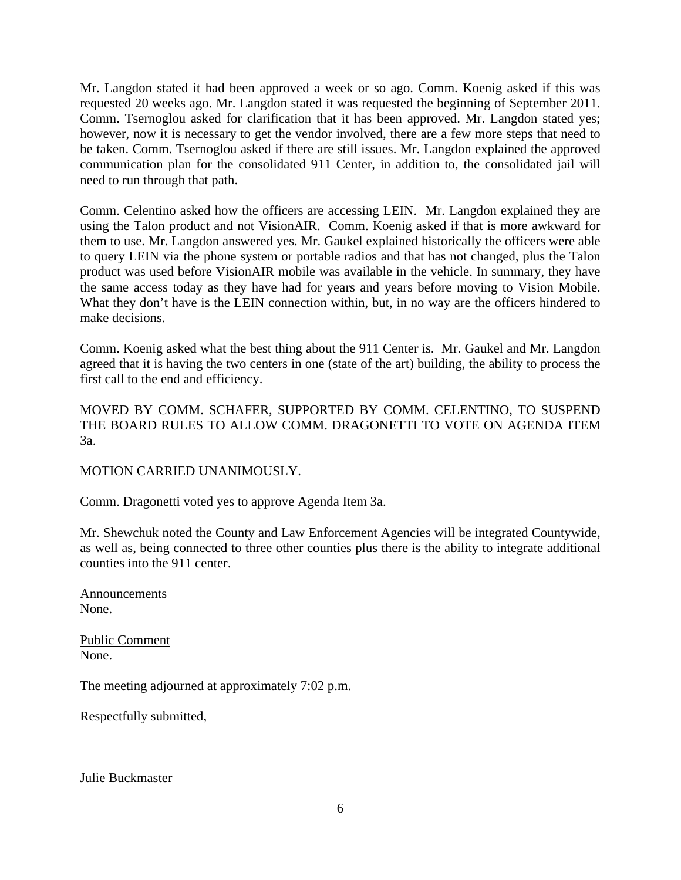Mr. Langdon stated it had been approved a week or so ago. Comm. Koenig asked if this was requested 20 weeks ago. Mr. Langdon stated it was requested the beginning of September 2011. Comm. Tsernoglou asked for clarification that it has been approved. Mr. Langdon stated yes; however, now it is necessary to get the vendor involved, there are a few more steps that need to be taken. Comm. Tsernoglou asked if there are still issues. Mr. Langdon explained the approved communication plan for the consolidated 911 Center, in addition to, the consolidated jail will need to run through that path.

Comm. Celentino asked how the officers are accessing LEIN. Mr. Langdon explained they are using the Talon product and not VisionAIR. Comm. Koenig asked if that is more awkward for them to use. Mr. Langdon answered yes. Mr. Gaukel explained historically the officers were able to query LEIN via the phone system or portable radios and that has not changed, plus the Talon product was used before VisionAIR mobile was available in the vehicle. In summary, they have the same access today as they have had for years and years before moving to Vision Mobile. What they don't have is the LEIN connection within, but, in no way are the officers hindered to make decisions.

Comm. Koenig asked what the best thing about the 911 Center is. Mr. Gaukel and Mr. Langdon agreed that it is having the two centers in one (state of the art) building, the ability to process the first call to the end and efficiency.

MOVED BY COMM. SCHAFER, SUPPORTED BY COMM. CELENTINO, TO SUSPEND THE BOARD RULES TO ALLOW COMM. DRAGONETTI TO VOTE ON AGENDA ITEM 3a.

### MOTION CARRIED UNANIMOUSLY.

Comm. Dragonetti voted yes to approve Agenda Item 3a.

Mr. Shewchuk noted the County and Law Enforcement Agencies will be integrated Countywide, as well as, being connected to three other counties plus there is the ability to integrate additional counties into the 911 center.

Announcements None.

Public Comment None.

The meeting adjourned at approximately 7:02 p.m.

Respectfully submitted,

Julie Buckmaster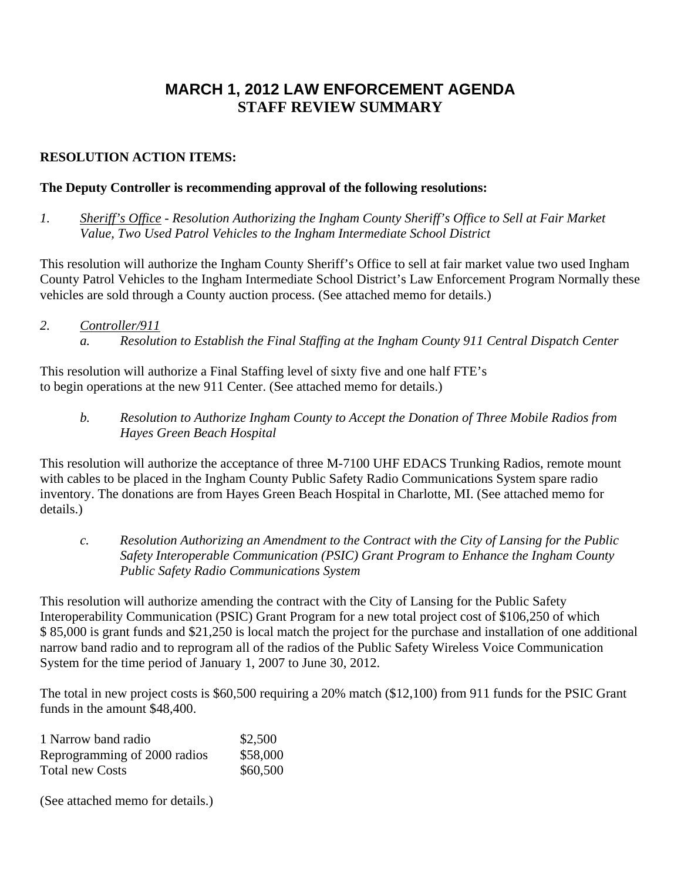# **MARCH 1, 2012 LAW ENFORCEMENT AGENDA STAFF REVIEW SUMMARY**

# **RESOLUTION ACTION ITEMS:**

# **The Deputy Controller is recommending approval of the following resolutions:**

*1. Sheriff's Office - Resolution Authorizing the Ingham County Sheriff's Office to Sell at Fair Market Value, Two Used Patrol Vehicles to the Ingham Intermediate School District* 

This resolution will authorize the Ingham County Sheriff's Office to sell at fair market value two used Ingham County Patrol Vehicles to the Ingham Intermediate School District's Law Enforcement Program Normally these vehicles are sold through a County auction process. (See attached memo for details.)

*2. Controller/911 a. Resolution to Establish the Final Staffing at the Ingham County 911 Central Dispatch Center* 

This resolution will authorize a Final Staffing level of sixty five and one half FTE's to begin operations at the new 911 Center. (See attached memo for details.)

*b. Resolution to Authorize Ingham County to Accept the Donation of Three Mobile Radios from Hayes Green Beach Hospital* 

This resolution will authorize the acceptance of three M-7100 UHF EDACS Trunking Radios, remote mount with cables to be placed in the Ingham County Public Safety Radio Communications System spare radio inventory. The donations are from Hayes Green Beach Hospital in Charlotte, MI. (See attached memo for details.)

*c. Resolution Authorizing an Amendment to the Contract with the City of Lansing for the Public Safety Interoperable Communication (PSIC) Grant Program to Enhance the Ingham County Public Safety Radio Communications System* 

This resolution will authorize amending the contract with the City of Lansing for the Public Safety Interoperability Communication (PSIC) Grant Program for a new total project cost of \$106,250 of which \$ 85,000 is grant funds and \$21,250 is local match the project for the purchase and installation of one additional narrow band radio and to reprogram all of the radios of the Public Safety Wireless Voice Communication System for the time period of January 1, 2007 to June 30, 2012.

The total in new project costs is \$60,500 requiring a 20% match (\$12,100) from 911 funds for the PSIC Grant funds in the amount \$48,400.

| 1 Narrow band radio          | \$2,500  |
|------------------------------|----------|
| Reprogramming of 2000 radios | \$58,000 |
| <b>Total new Costs</b>       | \$60,500 |

(See attached memo for details.)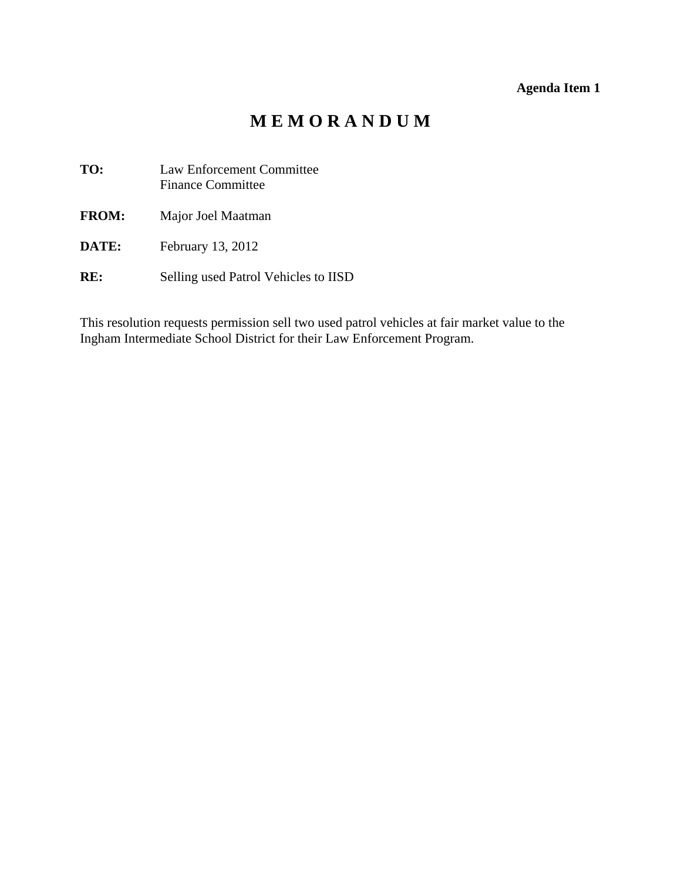# **Agenda Item 1**

# **M E M O R A N D U M**

<span id="page-8-0"></span>**TO:** Law Enforcement Committee Finance Committee

**FROM:** Major Joel Maatman

- **DATE:** February 13, 2012
- **RE:** Selling used Patrol Vehicles to IISD

This resolution requests permission sell two used patrol vehicles at fair market value to the Ingham Intermediate School District for their Law Enforcement Program.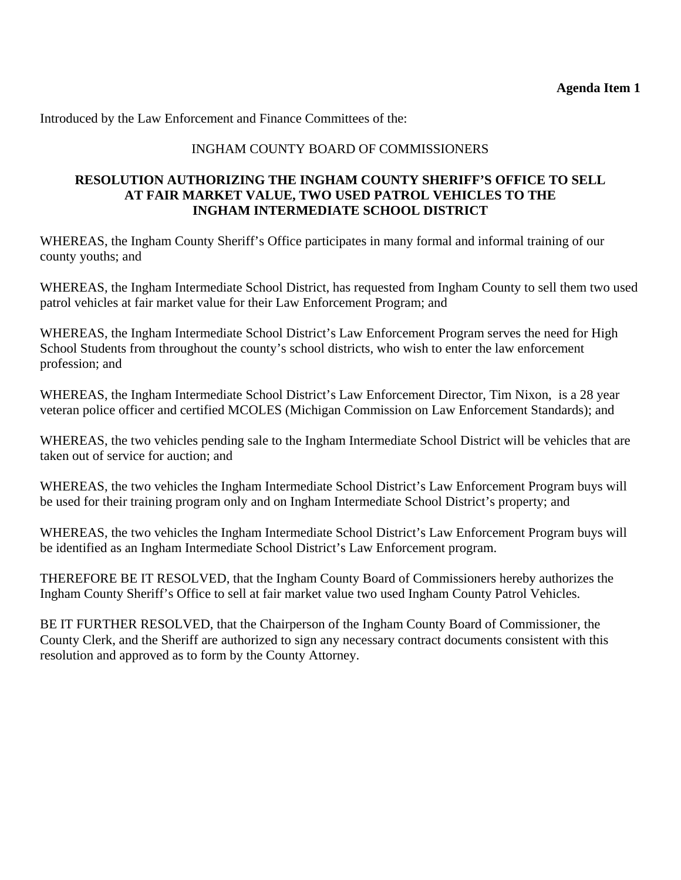# INGHAM COUNTY BOARD OF COMMISSIONERS

# **RESOLUTION AUTHORIZING THE INGHAM COUNTY SHERIFF'S OFFICE TO SELL AT FAIR MARKET VALUE, TWO USED PATROL VEHICLES TO THE INGHAM INTERMEDIATE SCHOOL DISTRICT**

WHEREAS, the Ingham County Sheriff's Office participates in many formal and informal training of our county youths; and

WHEREAS, the Ingham Intermediate School District, has requested from Ingham County to sell them two used patrol vehicles at fair market value for their Law Enforcement Program; and

WHEREAS, the Ingham Intermediate School District's Law Enforcement Program serves the need for High School Students from throughout the county's school districts, who wish to enter the law enforcement profession; and

WHEREAS, the Ingham Intermediate School District's Law Enforcement Director, Tim Nixon, is a 28 year veteran police officer and certified MCOLES (Michigan Commission on Law Enforcement Standards); and

WHEREAS, the two vehicles pending sale to the Ingham Intermediate School District will be vehicles that are taken out of service for auction; and

WHEREAS, the two vehicles the Ingham Intermediate School District's Law Enforcement Program buys will be used for their training program only and on Ingham Intermediate School District's property; and

WHEREAS, the two vehicles the Ingham Intermediate School District's Law Enforcement Program buys will be identified as an Ingham Intermediate School District's Law Enforcement program.

THEREFORE BE IT RESOLVED, that the Ingham County Board of Commissioners hereby authorizes the Ingham County Sheriff's Office to sell at fair market value two used Ingham County Patrol Vehicles.

BE IT FURTHER RESOLVED, that the Chairperson of the Ingham County Board of Commissioner, the County Clerk, and the Sheriff are authorized to sign any necessary contract documents consistent with this resolution and approved as to form by the County Attorney.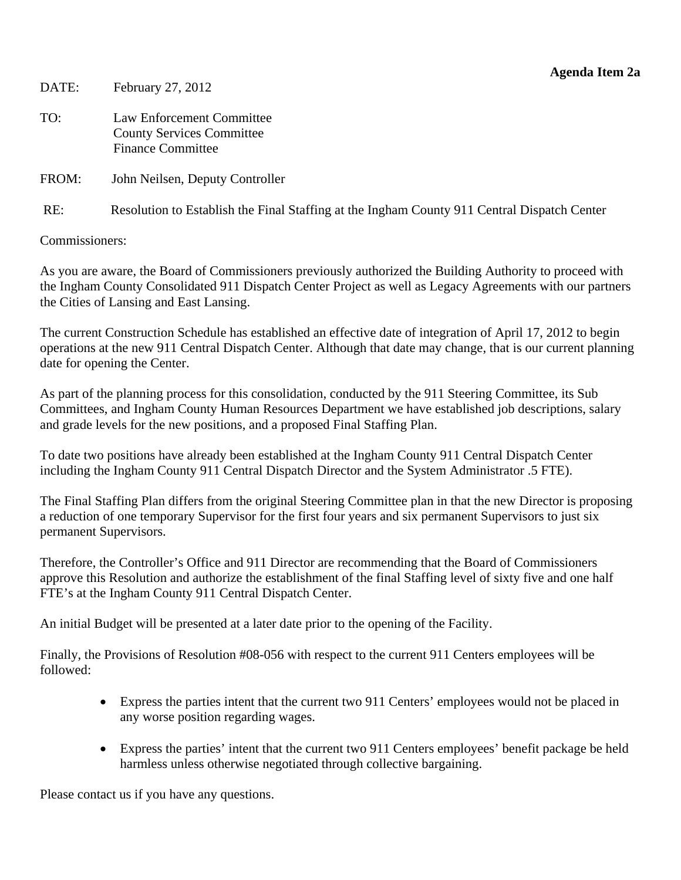<span id="page-10-0"></span>DATE: February 27, 2012

TO: Law Enforcement Committee County Services Committee Finance Committee

FROM: John Neilsen, Deputy Controller

RE: Resolution to Establish the Final Staffing at the Ingham County 911 Central Dispatch Center

Commissioners:

As you are aware, the Board of Commissioners previously authorized the Building Authority to proceed with the Ingham County Consolidated 911 Dispatch Center Project as well as Legacy Agreements with our partners the Cities of Lansing and East Lansing.

The current Construction Schedule has established an effective date of integration of April 17, 2012 to begin operations at the new 911 Central Dispatch Center. Although that date may change, that is our current planning date for opening the Center.

As part of the planning process for this consolidation, conducted by the 911 Steering Committee, its Sub Committees, and Ingham County Human Resources Department we have established job descriptions, salary and grade levels for the new positions, and a proposed Final Staffing Plan.

To date two positions have already been established at the Ingham County 911 Central Dispatch Center including the Ingham County 911 Central Dispatch Director and the System Administrator .5 FTE).

The Final Staffing Plan differs from the original Steering Committee plan in that the new Director is proposing a reduction of one temporary Supervisor for the first four years and six permanent Supervisors to just six permanent Supervisors.

Therefore, the Controller's Office and 911 Director are recommending that the Board of Commissioners approve this Resolution and authorize the establishment of the final Staffing level of sixty five and one half FTE's at the Ingham County 911 Central Dispatch Center.

An initial Budget will be presented at a later date prior to the opening of the Facility.

Finally, the Provisions of Resolution #08-056 with respect to the current 911 Centers employees will be followed:

- Express the parties intent that the current two 911 Centers' employees would not be placed in any worse position regarding wages.
- Express the parties' intent that the current two 911 Centers employees' benefit package be held harmless unless otherwise negotiated through collective bargaining.

Please contact us if you have any questions.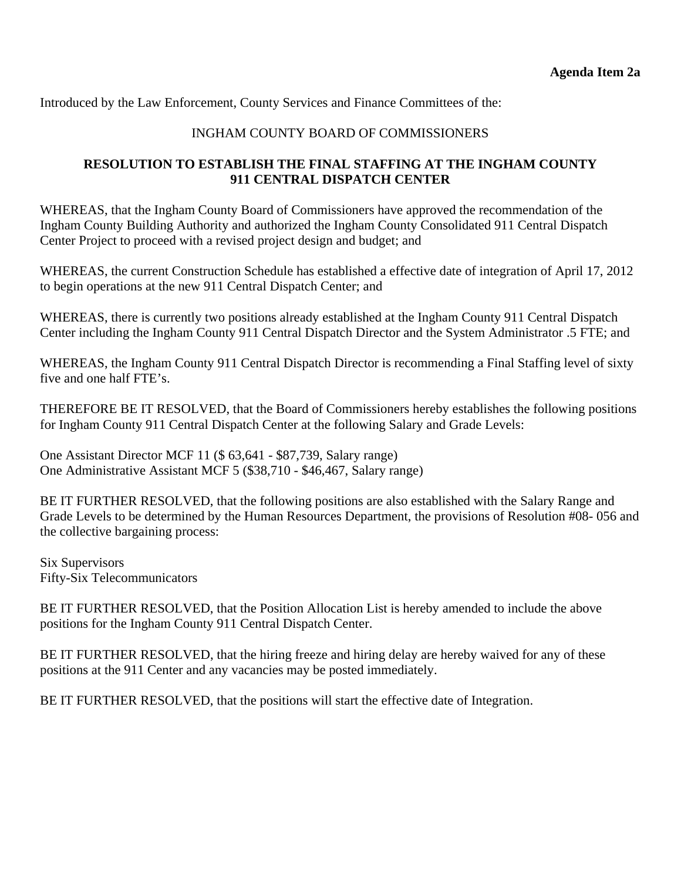Introduced by the Law Enforcement, County Services and Finance Committees of the:

# INGHAM COUNTY BOARD OF COMMISSIONERS

# **RESOLUTION TO ESTABLISH THE FINAL STAFFING AT THE INGHAM COUNTY 911 CENTRAL DISPATCH CENTER**

WHEREAS, that the Ingham County Board of Commissioners have approved the recommendation of the Ingham County Building Authority and authorized the Ingham County Consolidated 911 Central Dispatch Center Project to proceed with a revised project design and budget; and

WHEREAS, the current Construction Schedule has established a effective date of integration of April 17, 2012 to begin operations at the new 911 Central Dispatch Center; and

WHEREAS, there is currently two positions already established at the Ingham County 911 Central Dispatch Center including the Ingham County 911 Central Dispatch Director and the System Administrator .5 FTE; and

WHEREAS, the Ingham County 911 Central Dispatch Director is recommending a Final Staffing level of sixty five and one half FTE's.

THEREFORE BE IT RESOLVED, that the Board of Commissioners hereby establishes the following positions for Ingham County 911 Central Dispatch Center at the following Salary and Grade Levels:

One Assistant Director MCF 11 (\$ 63,641 - \$87,739, Salary range) One Administrative Assistant MCF 5 (\$38,710 - \$46,467, Salary range)

BE IT FURTHER RESOLVED, that the following positions are also established with the Salary Range and Grade Levels to be determined by the Human Resources Department, the provisions of Resolution #08- 056 and the collective bargaining process:

Six Supervisors Fifty-Six Telecommunicators

BE IT FURTHER RESOLVED, that the Position Allocation List is hereby amended to include the above positions for the Ingham County 911 Central Dispatch Center.

BE IT FURTHER RESOLVED, that the hiring freeze and hiring delay are hereby waived for any of these positions at the 911 Center and any vacancies may be posted immediately.

BE IT FURTHER RESOLVED, that the positions will start the effective date of Integration.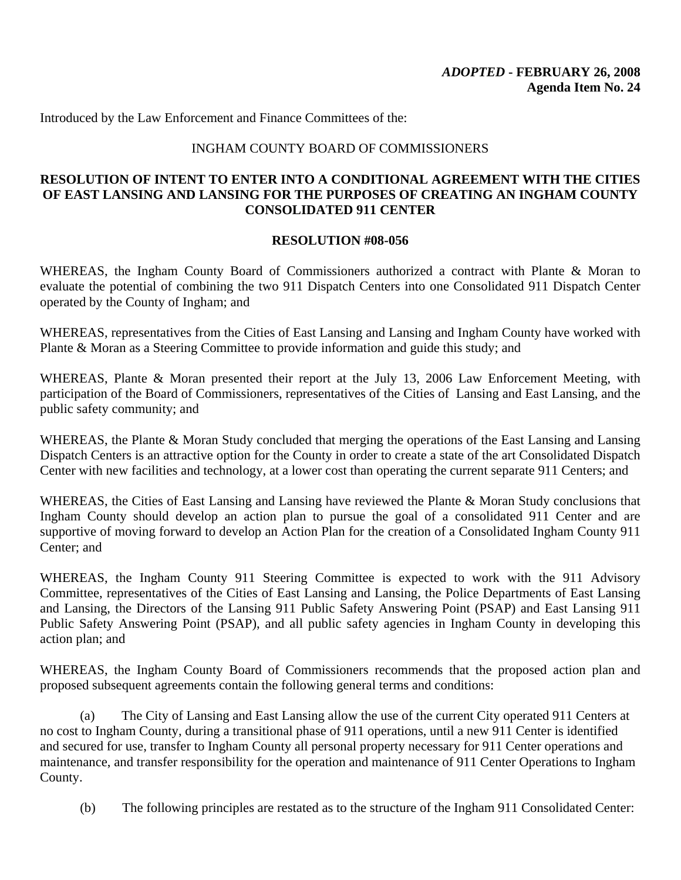### INGHAM COUNTY BOARD OF COMMISSIONERS

# **RESOLUTION OF INTENT TO ENTER INTO A CONDITIONAL AGREEMENT WITH THE CITIES OF EAST LANSING AND LANSING FOR THE PURPOSES OF CREATING AN INGHAM COUNTY CONSOLIDATED 911 CENTER**

### **RESOLUTION #08-056**

WHEREAS, the Ingham County Board of Commissioners authorized a contract with Plante & Moran to evaluate the potential of combining the two 911 Dispatch Centers into one Consolidated 911 Dispatch Center operated by the County of Ingham; and

WHEREAS, representatives from the Cities of East Lansing and Lansing and Ingham County have worked with Plante & Moran as a Steering Committee to provide information and guide this study; and

WHEREAS, Plante & Moran presented their report at the July 13, 2006 Law Enforcement Meeting, with participation of the Board of Commissioners, representatives of the Cities of Lansing and East Lansing, and the public safety community; and

WHEREAS, the Plante & Moran Study concluded that merging the operations of the East Lansing and Lansing Dispatch Centers is an attractive option for the County in order to create a state of the art Consolidated Dispatch Center with new facilities and technology, at a lower cost than operating the current separate 911 Centers; and

WHEREAS, the Cities of East Lansing and Lansing have reviewed the Plante & Moran Study conclusions that Ingham County should develop an action plan to pursue the goal of a consolidated 911 Center and are supportive of moving forward to develop an Action Plan for the creation of a Consolidated Ingham County 911 Center; and

WHEREAS, the Ingham County 911 Steering Committee is expected to work with the 911 Advisory Committee, representatives of the Cities of East Lansing and Lansing, the Police Departments of East Lansing and Lansing, the Directors of the Lansing 911 Public Safety Answering Point (PSAP) and East Lansing 911 Public Safety Answering Point (PSAP), and all public safety agencies in Ingham County in developing this action plan; and

WHEREAS, the Ingham County Board of Commissioners recommends that the proposed action plan and proposed subsequent agreements contain the following general terms and conditions:

(a) The City of Lansing and East Lansing allow the use of the current City operated 911 Centers at no cost to Ingham County, during a transitional phase of 911 operations, until a new 911 Center is identified and secured for use, transfer to Ingham County all personal property necessary for 911 Center operations and maintenance, and transfer responsibility for the operation and maintenance of 911 Center Operations to Ingham County.

(b) The following principles are restated as to the structure of the Ingham 911 Consolidated Center: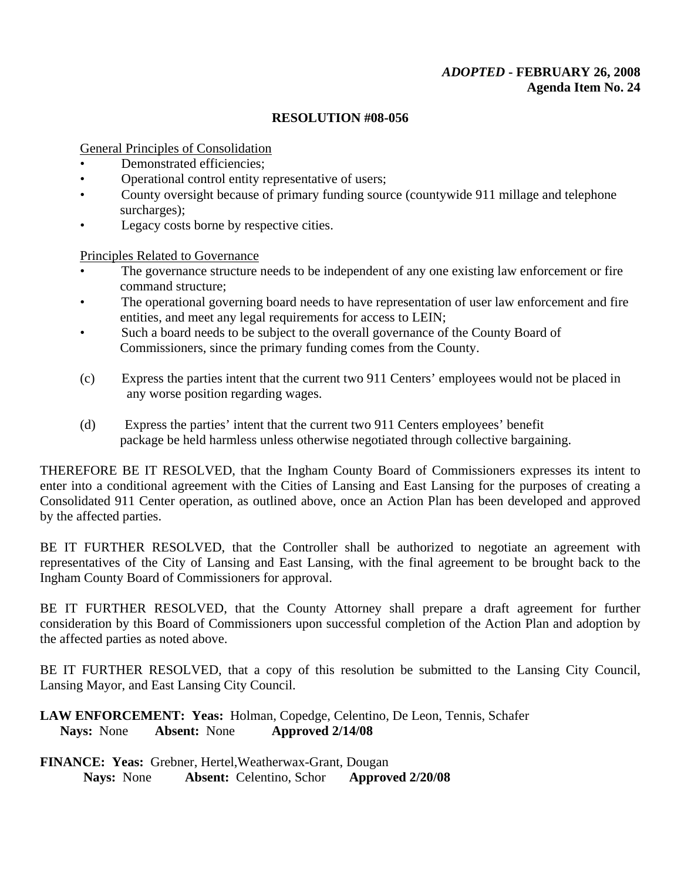# *ADOPTED* **- FEBRUARY 26, 2008 Agenda Item No. 24**

### **RESOLUTION #08-056**

General Principles of Consolidation

- Demonstrated efficiencies:
- Operational control entity representative of users:
- County oversight because of primary funding source (countywide 911 millage and telephone surcharges);
- Legacy costs borne by respective cities.

Principles Related to Governance

- The governance structure needs to be independent of any one existing law enforcement or fire command structure;
- The operational governing board needs to have representation of user law enforcement and fire entities, and meet any legal requirements for access to LEIN;
- Such a board needs to be subject to the overall governance of the County Board of Commissioners, since the primary funding comes from the County.
- (c) Express the parties intent that the current two 911 Centers' employees would not be placed in any worse position regarding wages.
- (d) Express the parties' intent that the current two 911 Centers employees' benefit package be held harmless unless otherwise negotiated through collective bargaining.

THEREFORE BE IT RESOLVED, that the Ingham County Board of Commissioners expresses its intent to enter into a conditional agreement with the Cities of Lansing and East Lansing for the purposes of creating a Consolidated 911 Center operation, as outlined above, once an Action Plan has been developed and approved by the affected parties.

BE IT FURTHER RESOLVED, that the Controller shall be authorized to negotiate an agreement with representatives of the City of Lansing and East Lansing, with the final agreement to be brought back to the Ingham County Board of Commissioners for approval.

BE IT FURTHER RESOLVED, that the County Attorney shall prepare a draft agreement for further consideration by this Board of Commissioners upon successful completion of the Action Plan and adoption by the affected parties as noted above.

BE IT FURTHER RESOLVED, that a copy of this resolution be submitted to the Lansing City Council, Lansing Mayor, and East Lansing City Council.

**LAW ENFORCEMENT: Yeas:** Holman, Copedge, Celentino, De Leon, Tennis, Schafer  **Nays:** None **Absent:** None **Approved 2/14/08**

**FINANCE: Yeas:** Grebner, Hertel,Weatherwax-Grant, Dougan **Nays:** None **Absent:** Celentino, Schor **Approved 2/20/08**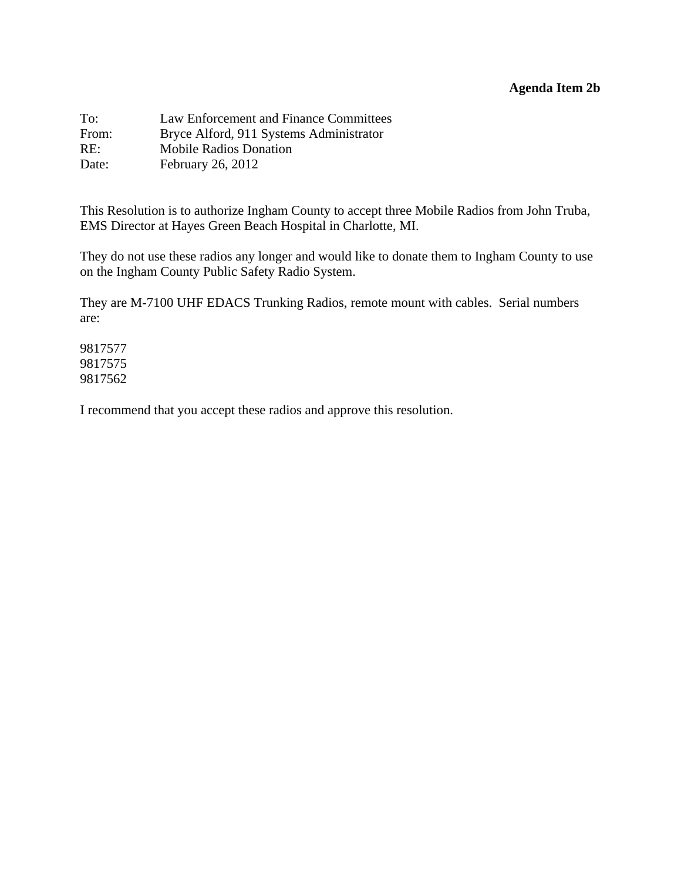# **Agenda Item 2b**

<span id="page-14-0"></span>

| To:   | Law Enforcement and Finance Committees  |
|-------|-----------------------------------------|
| From: | Bryce Alford, 911 Systems Administrator |
| RE:   | <b>Mobile Radios Donation</b>           |
| Date: | February 26, 2012                       |

This Resolution is to authorize Ingham County to accept three Mobile Radios from John Truba, EMS Director at Hayes Green Beach Hospital in Charlotte, MI.

They do not use these radios any longer and would like to donate them to Ingham County to use on the Ingham County Public Safety Radio System.

They are M-7100 UHF EDACS Trunking Radios, remote mount with cables. Serial numbers are:

9817577 9817575 9817562

I recommend that you accept these radios and approve this resolution.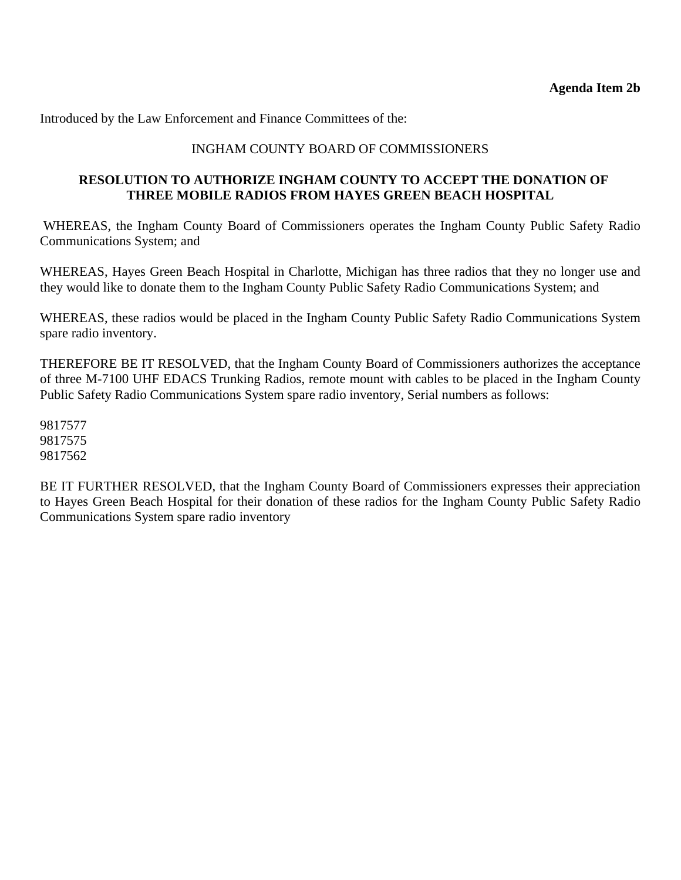# INGHAM COUNTY BOARD OF COMMISSIONERS

# **RESOLUTION TO AUTHORIZE INGHAM COUNTY TO ACCEPT THE DONATION OF THREE MOBILE RADIOS FROM HAYES GREEN BEACH HOSPITAL**

 WHEREAS, the Ingham County Board of Commissioners operates the Ingham County Public Safety Radio Communications System; and

WHEREAS, Hayes Green Beach Hospital in Charlotte, Michigan has three radios that they no longer use and they would like to donate them to the Ingham County Public Safety Radio Communications System; and

WHEREAS, these radios would be placed in the Ingham County Public Safety Radio Communications System spare radio inventory.

THEREFORE BE IT RESOLVED, that the Ingham County Board of Commissioners authorizes the acceptance of three M-7100 UHF EDACS Trunking Radios, remote mount with cables to be placed in the Ingham County Public Safety Radio Communications System spare radio inventory, Serial numbers as follows:

9817577 9817575 9817562

BE IT FURTHER RESOLVED, that the Ingham County Board of Commissioners expresses their appreciation to Hayes Green Beach Hospital for their donation of these radios for the Ingham County Public Safety Radio Communications System spare radio inventory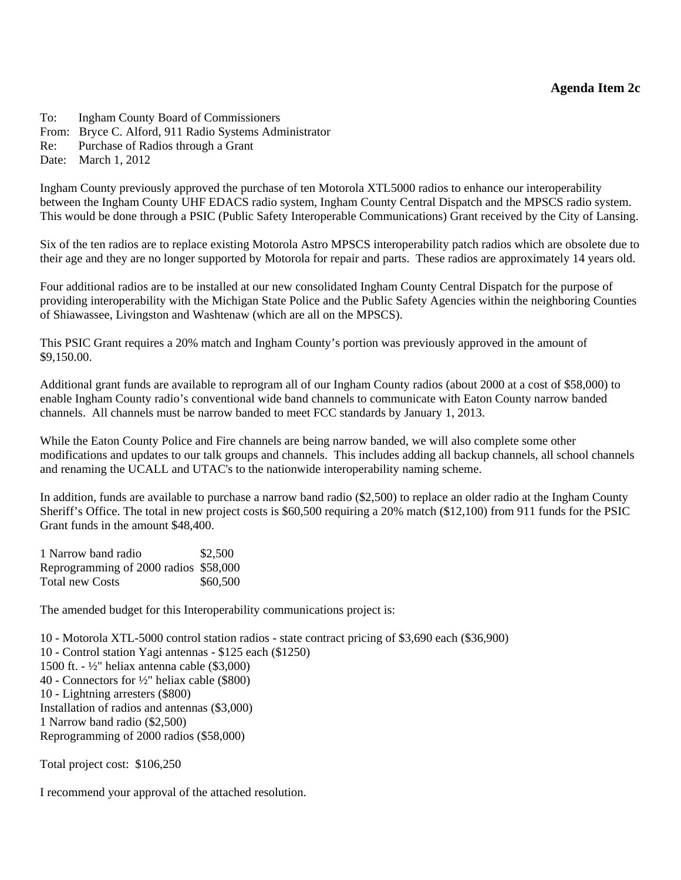<span id="page-16-0"></span>To: Ingham County Board of Commissioners From: Bryce C. Alford, 911 Radio Systems Administrator Re: Purchase of Radios through a Grant Date: March 1, 2012

Ingham County previously approved the purchase of ten Motorola XTL5000 radios to enhance our interoperability between the Ingham County UHF EDACS radio system, Ingham County Central Dispatch and the MPSCS radio system. This would be done through a PSIC (Public Safety Interoperable Communications) Grant received by the City of Lansing.

Six of the ten radios are to replace existing Motorola Astro MPSCS interoperability patch radios which are obsolete due to their age and they are no longer supported by Motorola for repair and parts. These radios are approximately 14 years old.

Four additional radios are to be installed at our new consolidated Ingham County Central Dispatch for the purpose of providing interoperability with the Michigan State Police and the Public Safety Agencies within the neighboring Counties of Shiawassee, Livingston and Washtenaw (which are all on the MPSCS).

This PSIC Grant requires a 20% match and Ingham County's portion was previously approved in the amount of \$9,150.00.

Additional grant funds are available to reprogram all of our Ingham County radios (about 2000 at a cost of \$58,000) to enable Ingham County radio's conventional wide band channels to communicate with Eaton County narrow banded channels. All channels must be narrow banded to meet FCC standards by January 1, 2013.

While the Eaton County Police and Fire channels are being narrow banded, we will also complete some other modifications and updates to our talk groups and channels. This includes adding all backup channels, all school channels and renaming the UCALL and UTAC's to the nationwide interoperability naming scheme.

In addition, funds are available to purchase a narrow band radio (\$2,500) to replace an older radio at the Ingham County Sheriff's Office. The total in new project costs is \$60,500 requiring a 20% match (\$12,100) from 911 funds for the PSIC Grant funds in the amount \$48,400.

| 1 Narrow band radio                   | \$2,500  |
|---------------------------------------|----------|
| Reprogramming of 2000 radios \$58,000 |          |
| Total new Costs                       | \$60,500 |

The amended budget for this Interoperability communications project is:

10 - Motorola XTL-5000 control station radios - state contract pricing of \$3,690 each (\$36,900) 10 - Control station Yagi antennas - \$125 each (\$1250) 1500 ft. - ½" heliax antenna cable (\$3,000) 40 - Connectors for ½" heliax cable (\$800) 10 - Lightning arresters (\$800) Installation of radios and antennas (\$3,000) 1 Narrow band radio (\$2,500) Reprogramming of 2000 radios (\$58,000)

Total project cost: \$106,250

I recommend your approval of the attached resolution.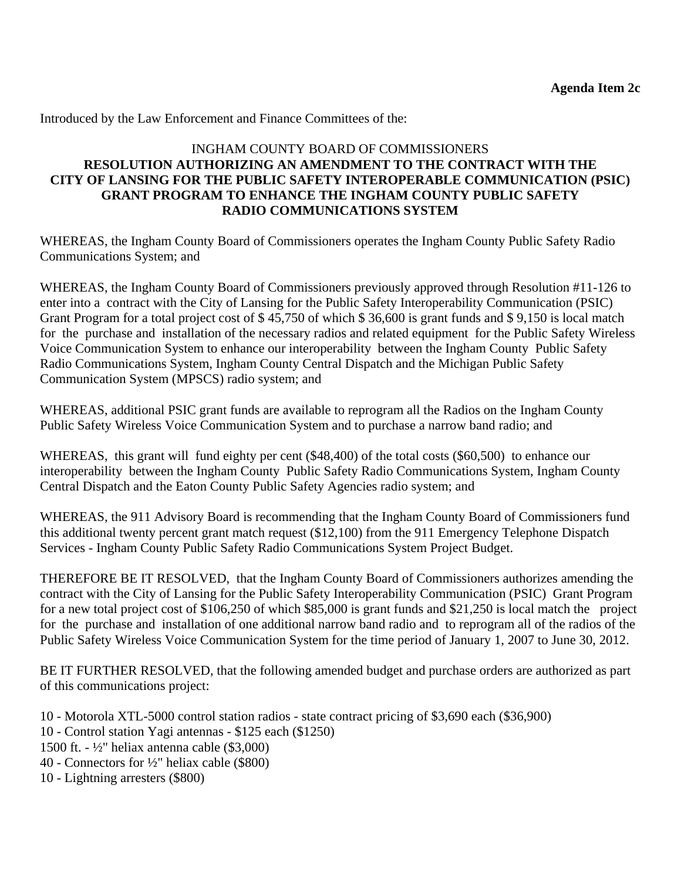# INGHAM COUNTY BOARD OF COMMISSIONERS **RESOLUTION AUTHORIZING AN AMENDMENT TO THE CONTRACT WITH THE CITY OF LANSING FOR THE PUBLIC SAFETY INTEROPERABLE COMMUNICATION (PSIC) GRANT PROGRAM TO ENHANCE THE INGHAM COUNTY PUBLIC SAFETY RADIO COMMUNICATIONS SYSTEM**

WHEREAS, the Ingham County Board of Commissioners operates the Ingham County Public Safety Radio Communications System; and

WHEREAS, the Ingham County Board of Commissioners previously approved through Resolution #11-126 to enter into a contract with the City of Lansing for the Public Safety Interoperability Communication (PSIC) Grant Program for a total project cost of \$ 45,750 of which \$ 36,600 is grant funds and \$ 9,150 is local match for the purchase and installation of the necessary radios and related equipment for the Public Safety Wireless Voice Communication System to enhance our interoperability between the Ingham County Public Safety Radio Communications System, Ingham County Central Dispatch and the Michigan Public Safety Communication System (MPSCS) radio system; and

WHEREAS, additional PSIC grant funds are available to reprogram all the Radios on the Ingham County Public Safety Wireless Voice Communication System and to purchase a narrow band radio; and

WHEREAS, this grant will fund eighty per cent (\$48,400) of the total costs (\$60,500) to enhance our interoperability between the Ingham County Public Safety Radio Communications System, Ingham County Central Dispatch and the Eaton County Public Safety Agencies radio system; and

WHEREAS, the 911 Advisory Board is recommending that the Ingham County Board of Commissioners fund this additional twenty percent grant match request (\$12,100) from the 911 Emergency Telephone Dispatch Services - Ingham County Public Safety Radio Communications System Project Budget.

THEREFORE BE IT RESOLVED, that the Ingham County Board of Commissioners authorizes amending the contract with the City of Lansing for the Public Safety Interoperability Communication (PSIC) Grant Program for a new total project cost of \$106,250 of which \$85,000 is grant funds and \$21,250 is local match the project for the purchase and installation of one additional narrow band radio and to reprogram all of the radios of the Public Safety Wireless Voice Communication System for the time period of January 1, 2007 to June 30, 2012.

BE IT FURTHER RESOLVED, that the following amended budget and purchase orders are authorized as part of this communications project:

- 10 Motorola XTL-5000 control station radios state contract pricing of \$3,690 each (\$36,900)
- 10 Control station Yagi antennas \$125 each (\$1250)
- 1500 ft. ½" heliax antenna cable (\$3,000)
- 40 Connectors for ½" heliax cable (\$800)
- 10 Lightning arresters (\$800)